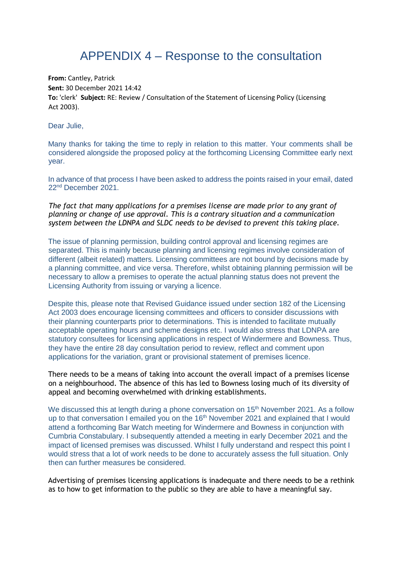## APPENDIX 4 – Response to the consultation

**From:** Cantley, Patrick **Sent:** 30 December 2021 14:42 **To:** 'clerk' **Subject:** RE: Review / Consultation of the Statement of Licensing Policy (Licensing Act 2003).

Dear Julie,

Many thanks for taking the time to reply in relation to this matter. Your comments shall be considered alongside the proposed policy at the forthcoming Licensing Committee early next year.

In advance of that process I have been asked to address the points raised in your email, dated 22nd December 2021.

*The fact that many applications for a premises license are made prior to any grant of planning or change of use approval. This is a contrary situation and a communication system between the LDNPA and SLDC needs to be devised to prevent this taking place.* 

The issue of planning permission, building control approval and licensing regimes are separated. This is mainly because planning and licensing regimes involve consideration of different (albeit related) matters. Licensing committees are not bound by decisions made by a planning committee, and vice versa. Therefore, whilst obtaining planning permission will be necessary to allow a premises to operate the actual planning status does not prevent the Licensing Authority from issuing or varying a licence.

Despite this, please note that Revised Guidance issued under section 182 of the Licensing Act 2003 does encourage licensing committees and officers to consider discussions with their planning counterparts prior to determinations. This is intended to facilitate mutually acceptable operating hours and scheme designs etc. I would also stress that LDNPA are statutory consultees for licensing applications in respect of Windermere and Bowness. Thus, they have the entire 28 day consultation period to review, reflect and comment upon applications for the variation, grant or provisional statement of premises licence.

There needs to be a means of taking into account the overall impact of a premises license on a neighbourhood. The absence of this has led to Bowness losing much of its diversity of appeal and becoming overwhelmed with drinking establishments.

We discussed this at length during a phone conversation on 15<sup>th</sup> November 2021. As a follow up to that conversation I emailed you on the 16<sup>th</sup> November 2021 and explained that I would attend a forthcoming Bar Watch meeting for Windermere and Bowness in conjunction with Cumbria Constabulary. I subsequently attended a meeting in early December 2021 and the impact of licensed premises was discussed. Whilst I fully understand and respect this point I would stress that a lot of work needs to be done to accurately assess the full situation. Only then can further measures be considered.

Advertising of premises licensing applications is inadequate and there needs to be a rethink as to how to get information to the public so they are able to have a meaningful say.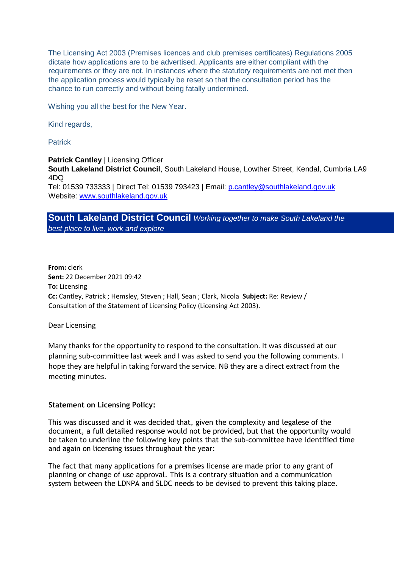The Licensing Act 2003 (Premises licences and club premises certificates) Regulations 2005 dictate how applications are to be advertised. Applicants are either compliant with the requirements or they are not. In instances where the statutory requirements are not met then the application process would typically be reset so that the consultation period has the chance to run correctly and without being fatally undermined.

Wishing you all the best for the New Year.

Kind regards,

**Patrick** 

**Patrick Cantley | Licensing Officer** 

**South Lakeland District Council**, South Lakeland House, Lowther Street, Kendal, Cumbria LA9 4DQ

Tel: 01539 733333 | Direct Tel: 01539 793423 | Email: p.cantley@southlakeland.gov.uk Website: [www.southlakeland.gov.uk](http://www.southlakeland.gov.uk/)

## **South Lakeland District Council** *Working together to make South Lakeland the best place to live, work and explore*

**From:** clerk **Sent:** 22 December 2021 09:42 **To:** Licensing **Cc:** Cantley, Patrick ; Hemsley, Steven ; Hall, Sean ; Clark, Nicola **Subject:** Re: Review / Consultation of the Statement of Licensing Policy (Licensing Act 2003).

Dear Licensing

Many thanks for the opportunity to respond to the consultation. It was discussed at our planning sub-committee last week and I was asked to send you the following comments. I hope they are helpful in taking forward the service. NB they are a direct extract from the meeting minutes.

## **Statement on Licensing Policy:**

This was discussed and it was decided that, given the complexity and legalese of the document, a full detailed response would not be provided, but that the opportunity would be taken to underline the following key points that the sub-committee have identified time and again on licensing issues throughout the year:

The fact that many applications for a premises license are made prior to any grant of planning or change of use approval. This is a contrary situation and a communication system between the LDNPA and SLDC needs to be devised to prevent this taking place.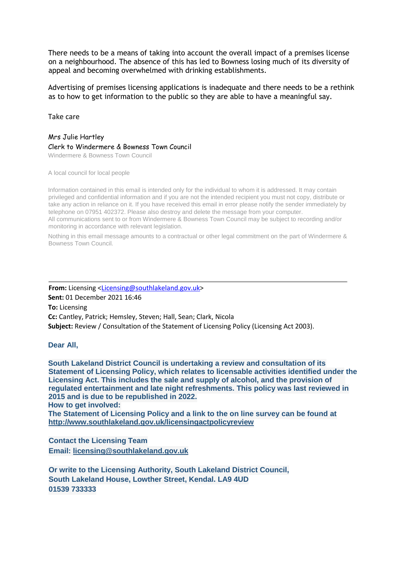There needs to be a means of taking into account the overall impact of a premises license on a neighbourhood. The absence of this has led to Bowness losing much of its diversity of appeal and becoming overwhelmed with drinking establishments.

Advertising of premises licensing applications is inadequate and there needs to be a rethink as to how to get information to the public so they are able to have a meaningful say.

Take care

Mrs Julie Hartley Clerk to Windermere & Bowness Town Council Windermere & Bowness Town Council

A local council for local people

Information contained in this email is intended only for the individual to whom it is addressed. It may contain privileged and confidential information and if you are not the intended recipient you must not copy, distribute or take any action in reliance on it. If you have received this email in error please notify the sender immediately by telephone on 07951 402372. Please also destroy and delete the message from your computer. All communications sent to or from Windermere & Bowness Town Council may be subject to recording and/or monitoring in accordance with relevant legislation.

Nothing in this email message amounts to a contractual or other legal commitment on the part of Windermere & Bowness Town Council.

From: Licensing <Licensing@southlakeland.gov.uk> **Sent:** 01 December 2021 16:46 **To:** Licensing **Cc:** Cantley, Patrick; Hemsley, Steven; Hall, Sean; Clark, Nicola **Subject:** Review / Consultation of the Statement of Licensing Policy (Licensing Act 2003).

**Dear All,**

**South Lakeland District Council is undertaking a review and consultation of its Statement of Licensing Policy, which relates to licensable activities identified under the Licensing Act. This includes the sale and supply of alcohol, and the provision of regulated entertainment and late night refreshments. This policy was last reviewed in 2015 and is due to be republished in 2022. How to get involved:** 

**The Statement of Licensing Policy and a link to the on line survey can be found at <http://www.southlakeland.gov.uk/licensingactpolicyreview>**

**Contact the Licensing Team Email: licensing@southlakeland.gov.uk**

**Or write to the Licensing Authority, South Lakeland District Council, South Lakeland House, Lowther Street, Kendal. LA9 4UD 01539 733333**